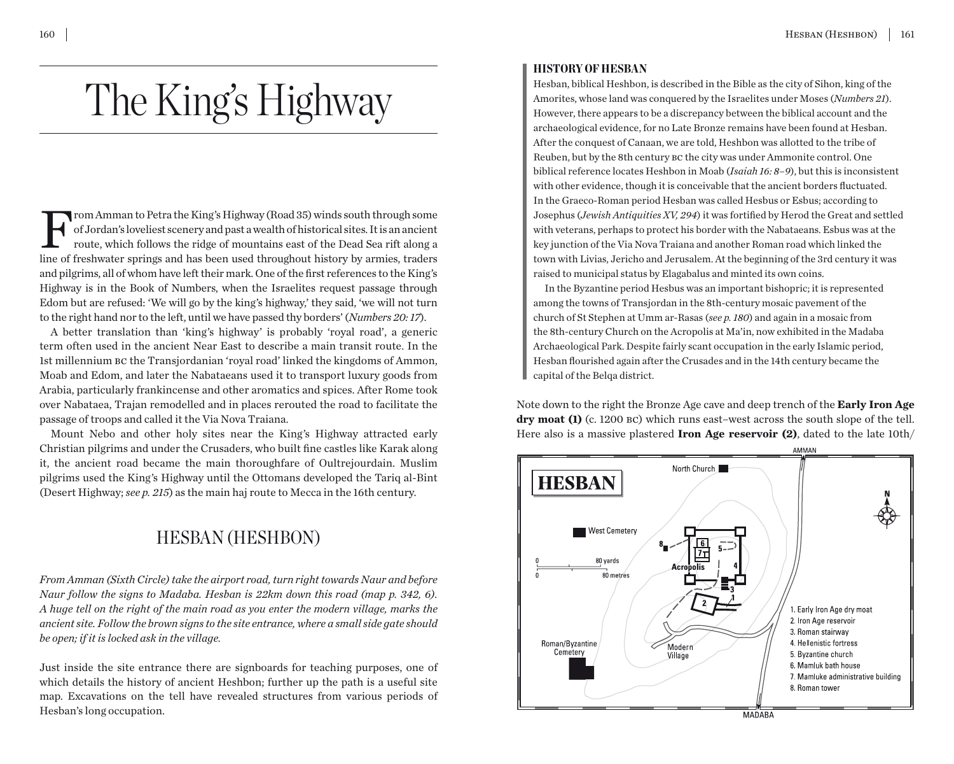# The King's Highway

From Amman to Petra the King's Highway (Road 35) winds south through some of Jordan's loveliest scenery and past a wealth of historical sites. It is an ancient route, which follows the ridge of mountains east of the Dead S of Jordan's loveliest scenery and past a wealth of historical sites. It is an ancient route, which follows the ridge of mountains east of the Dead Sea rift along a line of freshwater springs and has been used throughout history by armies, traders and pilgrims, all of whom have left their mark. One of the first references to the King's Highway is in the Book of Numbers, when the Israelites request passage through Edom but are refused: 'We will go by the king's highway,' they said, 'we will not turn to the right hand nor to the left, until we have passed thy borders' (*Numbers 20: 17*).

A better translation than 'king's highway' is probably 'royal road', a generic term often used in the ancient Near East to describe a main transit route. In the 1st millennium bc the Transjordanian 'royal road' linked the kingdoms of Ammon, Moab and Edom, and later the Nabataeans used it to transport luxury goods from Arabia, particularly frankincense and other aromatics and spices. After Rome took over Nabataea, Trajan remodelled and in places rerouted the road to facilitate the passage of troops and called it the Via Nova Traiana.

Mount Nebo and other holy sites near the King's Highway attracted early Christian pilgrims and under the Crusaders, who built fine castles like Karak along it, the ancient road became the main thoroughfare of Oultrejourdain. Muslim pilgrims used the King's Highway until the Ottomans developed the Tariq al-Bint (Desert Highway; *see p. 215*) as the main haj route to Mecca in the 16th century.

# HESBAN (HESHBON)

*From Amman (Sixth Circle) take the airport road, turn right towards Naur and before Naur follow the signs to Madaba. Hesban is 22km down this road (map p. 342, 6). A huge tell on the right of the main road as you enter the modern village, marks the ancient site. Follow the brown signs to the site entrance, where a small side gate should be open; if it is locked ask in the village.*

Just inside the site entrance there are signboards for teaching purposes, one of which details the history of ancient Heshbon; further up the path is a useful site map. Excavations on the tell have revealed structures from various periods of Hesban's long occupation.

#### HISTORY OF HESBAN

Hesban, biblical Heshbon, is described in the Bible as the city of Sihon, king of the Amorites, whose land was conquered by the Israelites under Moses (*Numbers 21*). However, there appears to be a discrepancy between the biblical account and the archaeological evidence, for no Late Bronze remains have been found at Hesban. After the conquest of Canaan, we are told, Heshbon was allotted to the tribe of Reuben, but by the 8th century bc the city was under Ammonite control. One biblical reference locates Heshbon in Moab (*Isaiah 16: 8–9*), but this is inconsistent with other evidence, though it is conceivable that the ancient borders fluctuated. In the Graeco-Roman period Hesban was called Hesbus or Esbus; according to Josephus (*Jewish Antiquities XV, 294*) it was fortified by Herod the Great and settled with veterans, perhaps to protect his border with the Nabataeans. Esbus was at the key junction of the Via Nova Traiana and another Roman road which linked the town with Livias, Jericho and Jerusalem. At the beginning of the 3rd century it was raised to municipal status by Elagabalus and minted its own coins.

In the Byzantine period Hesbus was an important bishopric; it is represented among the towns of Transjordan in the 8th-century mosaic pavement of the church of St Stephen at Umm ar-Rasas (*see p. 180*) and again in a mosaic from the 8th-century Church on the Acropolis at Ma'in, now exhibited in the Madaba Archaeological Park. Despite fairly scant occupation in the early Islamic period, Hesban flourished again after the Crusades and in the 14th century became the capital of the Belqa district.

Note down to the right the Bronze Age cave and deep trench of the **Early Iron Age dry moat (1)** (c. 1200 bc) which runs east–west across the south slope of the tell. Here also is a massive plastered **Iron Age reservoir (2)**, dated to the late 10th/

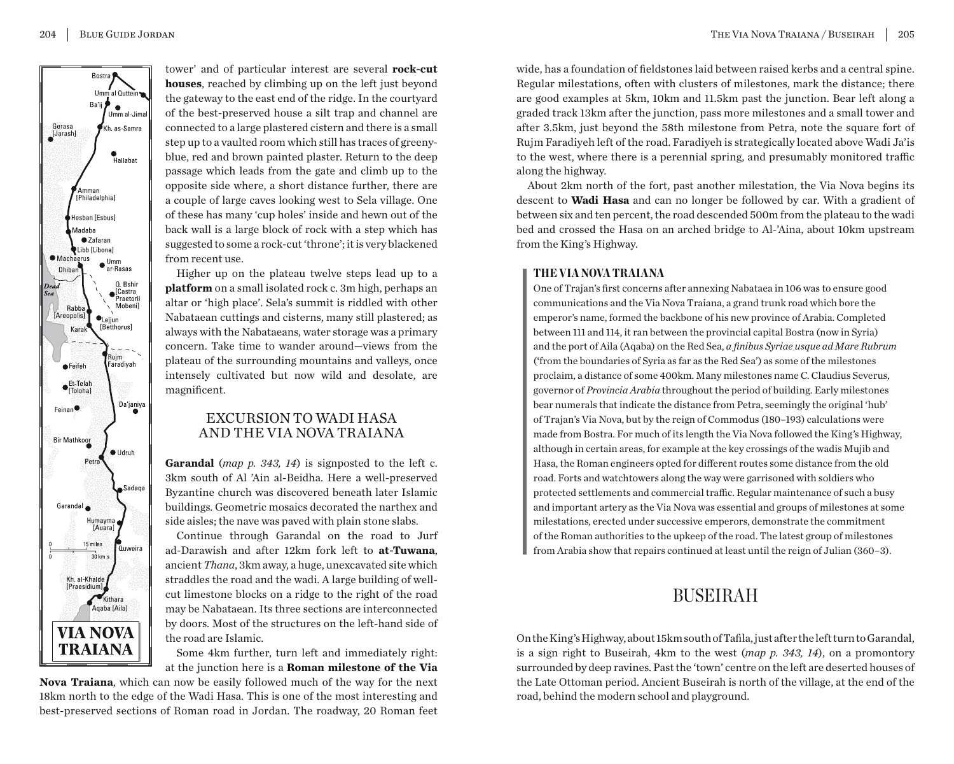

tower' and of particular interest are several **rock-cut houses**, reached by climbing up on the left just beyond the gateway to the east end of the ridge. In the courtyard of the best-preserved house a silt trap and channel are connected to a large plastered cistern and there is a small step up to a vaulted room which still has traces of greenyblue, red and brown painted plaster. Return to the deep passage which leads from the gate and climb up to the opposite side where, a short distance further, there are a couple of large caves looking west to Sela village. One of these has many 'cup holes' inside and hewn out of the back wall is a large block of rock with a step which has suggested to some a rock-cut 'throne'; it is very blackened from recent use.

Higher up on the plateau twelve steps lead up to a **platform** on a small isolated rock c. 3m high, perhaps an altar or 'high place'. Sela's summit is riddled with other Nabataean cuttings and cisterns, many still plastered; as always with the Nabataeans, water storage was a primary concern. Take time to wander around—views from the plateau of the surrounding mountains and valleys, once intensely cultivated but now wild and desolate, are magnificent.

## EXCURSION TO WADI HASA AND THE VIA NOVA TRAIANA

**Garandal** (*map p. 343, 14*) is signposted to the left c. 3km south of Al 'Ain al-Beidha. Here a well-preserved Byzantine church was discovered beneath later Islamic buildings. Geometric mosaics decorated the narthex and side aisles; the nave was paved with plain stone slabs.

Continue through Garandal on the road to Jurf ad-Darawish and after 12km fork left to **at-Tuwana**, ancient *Thana*, 3km away, a huge, unexcavated site which straddles the road and the wadi. A large building of wellcut limestone blocks on a ridge to the right of the road may be Nabataean. Its three sections are interconnected by doors. Most of the structures on the left-hand side of the road are Islamic.

Some 4km further, turn left and immediately right: at the junction here is a **Roman milestone of the Via** 

**Nova Traiana**, which can now be easily followed much of the way for the next 18km north to the edge of the Wadi Hasa. This is one of the most interesting and best-preserved sections of Roman road in Jordan. The roadway, 20 Roman feet

wide, has a foundation of fieldstones laid between raised kerbs and a central spine. Regular milestations, often with clusters of milestones, mark the distance; there are good examples at 5km, 10km and 11.5km past the junction. Bear left along a graded track 13km after the junction, pass more milestones and a small tower and after 3.5km, just beyond the 58th milestone from Petra, note the square fort of Rujm Faradiyeh left of the road. Faradiyeh is strategically located above Wadi Ja'is to the west, where there is a perennial spring, and presumably monitored traffic along the highway.

About 2km north of the fort, past another milestation, the Via Nova begins its descent to **Wadi Hasa** and can no longer be followed by car. With a gradient of between six and ten percent, the road descended 500m from the plateau to the wadi bed and crossed the Hasa on an arched bridge to Al-'Aina, about 10km upstream from the King's Highway.

### THE VIA NOVA TRAIANA

One of Trajan's first concerns after annexing Nabataea in 106 was to ensure good communications and the Via Nova Traiana, a grand trunk road which bore the emperor's name, formed the backbone of his new province of Arabia. Completed between 111 and 114, it ran between the provincial capital Bostra (now in Syria) and the port of Aila (Aqaba) on the Red Sea, *a finibus Syriae usque ad Mare Rubrum* ('from the boundaries of Syria as far as the Red Sea') as some of the milestones proclaim, a distance of some 400km. Many milestones name C. Claudius Severus, governor of *Provincia Arabia* throughout the period of building. Early milestones bear numerals that indicate the distance from Petra, seemingly the original 'hub' of Trajan's Via Nova, but by the reign of Commodus (180–193) calculations were made from Bostra. For much of its length the Via Nova followed the King's Highway, although in certain areas, for example at the key crossings of the wadis Mujib and Hasa, the Roman engineers opted for different routes some distance from the old road. Forts and watchtowers along the way were garrisoned with soldiers who protected settlements and commercial traffic. Regular maintenance of such a busy and important artery as the Via Nova was essential and groups of milestones at some milestations, erected under successive emperors, demonstrate the commitment of the Roman authorities to the upkeep of the road. The latest group of milestones from Arabia show that repairs continued at least until the reign of Julian (360–3).

# BUSEIRAH

On the King's Highway, about 15km south of Tafila, just after the left turn to Garandal, is a sign right to Buseirah, 4km to the west (*map p. 343, 14*), on a promontory surrounded by deep ravines. Past the 'town' centre on the left are deserted houses of the Late Ottoman period. Ancient Buseirah is north of the village, at the end of the road, behind the modern school and playground.